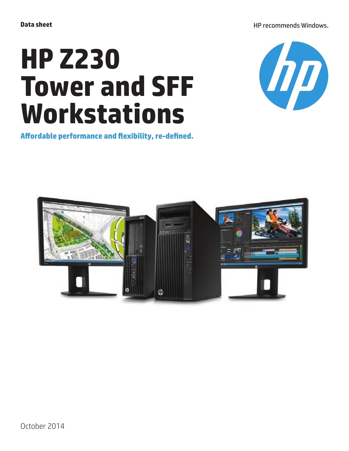HP recommends Windows.

# **HP Z230 Tower and SFF Workstations**



**Affordable performance and flexibility, re-defined.**

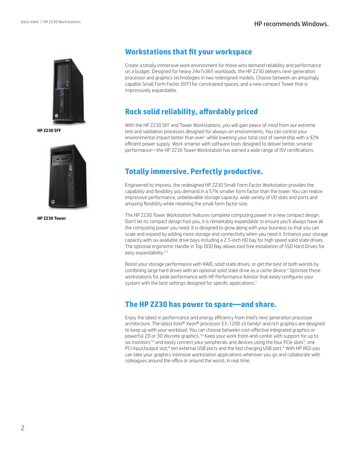

**HP Z230 SFF**



**HP Z230 Tower**

## **Workstations that fit your workspace**

Create a totally immersive work environment for those who demand reliability and performance on a budget. Designed for heavy 24x7x365 workloads, the HP Z230 delivers next-generation processor and graphics technologies in two redesigned models. Choose between an amazingly capable Small Form Factor (SFF) for constrained spaces, and a new compact Tower that is impressively expandable.

# **Rock solid reliability, affordably priced**

With the HP Z230 SFF and Tower Workstations, you will gain peace of mind from our extreme test and validation processes designed for always-on environments. You can control your environmental impact better than ever<sup>1</sup> while lowering your total cost of ownership with a 92% efficient power supply. Work smarter with software tools designed to deliver better, smarter performance—the HP Z230 Tower Workstation has earned a wide range of ISV certifications.

# **Totally immersive. Perfectly productive.**

Engineered to impress, the redesigned HP Z230 Small Form Factor Workstation provides the capability and flexibility you demand in a 57% smaller form factor than the tower. You can realize impressive performance, unbelievable storage capacity, wide variety of I/O slots and ports and amazing flexibility while retaining the small form factor size.

The HP Z230 Tower Workstation features complete computing power in a new compact design. Don't let its compact design fool you, it is remarkably expandable to ensure you'll always have all the computing power you need. It is designed to grow along with your business so that you can scale and expand by adding more storage and connectivity when you need it. Enhance your storage capacity with six available drive bays including a 2.5-inch HD bay for high speed solid state drives. The optional ergonomic Handle in Top ODD Bay allows tool free installation of SSD Hard Drives for easy expandability.<sup>2,3</sup>

Boost your storage performance with RAID, solid state drives, or get the best of both worlds by combining large hard drives with an optional solid state drive as a cache device.<sup>4</sup> Optimize these workstations for peak performance with HP Performance Advisor that easily configures your system with the best settings designed for specific applications.<sup>5</sup>

### **The HP Z230 has power to spare—and share.**

Enjoy the latest in performance and energy efficiency from Intel's next generation processor architecture. The latest Intel® Xeon® processor E3-1200 v3 family<sup>6</sup> and rich graphics are designed to keep up with your workload. You can choose between cost-effective integrated graphics or powerful 2D or 3D discrete graphics.<sup>7,8</sup> Keep your work front-and-center with support for up to six monitors<sup>7,8</sup> and easily connect your peripherals and devices using the four PCIe slots<sup>9</sup>, one PCI input/output slot,\* ten external USB ports and the fast charging USB port.\* With HP RGS you can take your graphics intensive workstation applications wherever you go and collaborate with colleagues around the office or around the world, in real time.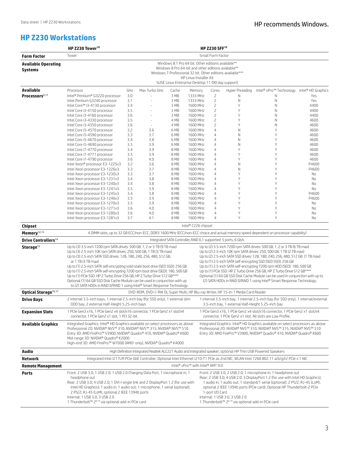#### HP recommends Windows.

# **HP Z230 Workstations**

|                                              | HP Z230 Tower <sup>10</sup><br><b>HP Z230 SFF10</b>                                                                                                                                                                                                                                                                                                                                                                                                                                                                                                                                                                                                                                                                                                                                                                                                                                                                                                                                                                                                                                                                                                                                                                                                                                    |            |               |                                                                 |                      |                                  |                                                                                      |                                                                                                                                                                                                                                                                                                              |                |
|----------------------------------------------|----------------------------------------------------------------------------------------------------------------------------------------------------------------------------------------------------------------------------------------------------------------------------------------------------------------------------------------------------------------------------------------------------------------------------------------------------------------------------------------------------------------------------------------------------------------------------------------------------------------------------------------------------------------------------------------------------------------------------------------------------------------------------------------------------------------------------------------------------------------------------------------------------------------------------------------------------------------------------------------------------------------------------------------------------------------------------------------------------------------------------------------------------------------------------------------------------------------------------------------------------------------------------------------|------------|---------------|-----------------------------------------------------------------|----------------------|----------------------------------|--------------------------------------------------------------------------------------|--------------------------------------------------------------------------------------------------------------------------------------------------------------------------------------------------------------------------------------------------------------------------------------------------------------|----------------|
| <b>Form Factor</b>                           | Small Form Factor<br>Tower                                                                                                                                                                                                                                                                                                                                                                                                                                                                                                                                                                                                                                                                                                                                                                                                                                                                                                                                                                                                                                                                                                                                                                                                                                                             |            |               |                                                                 |                      |                                  |                                                                                      |                                                                                                                                                                                                                                                                                                              |                |
| <b>Available Operating</b><br><b>Systems</b> | Windows 8.1 Pro 64 bit. Other editions available**<br>Windows 8 Pro 64-bit and other editions available**<br>Windows 7 Professional 32 bit. Other editions available***<br>HP Linux Installer Kit<br>SUSE Linux Enterprise Desktop 11 (90 day support)                                                                                                                                                                                                                                                                                                                                                                                                                                                                                                                                                                                                                                                                                                                                                                                                                                                                                                                                                                                                                                 |            |               |                                                                 |                      |                                  |                                                                                      |                                                                                                                                                                                                                                                                                                              |                |
|                                              |                                                                                                                                                                                                                                                                                                                                                                                                                                                                                                                                                                                                                                                                                                                                                                                                                                                                                                                                                                                                                                                                                                                                                                                                                                                                                        |            |               |                                                                 |                      |                                  |                                                                                      |                                                                                                                                                                                                                                                                                                              |                |
| <b>Available</b>                             | Processor                                                                                                                                                                                                                                                                                                                                                                                                                                                                                                                                                                                                                                                                                                                                                                                                                                                                                                                                                                                                                                                                                                                                                                                                                                                                              | GHz        | Max Turbo GHz | Cache                                                           | Memory               | Cores                            | Hyper-Threading                                                                      | Intel® vPro™ Technology Intel® HD Graphics                                                                                                                                                                                                                                                                   |                |
| Processors <sup>6,11</sup>                   | Intel® Pentium® G3220 processor<br>Intel Pentium G3240 processor                                                                                                                                                                                                                                                                                                                                                                                                                                                                                                                                                                                                                                                                                                                                                                                                                                                                                                                                                                                                                                                                                                                                                                                                                       | 3.0<br>3.1 |               | 3 MB<br>3 MB                                                    | 1333 MHz<br>1333 MHz | 2<br>$\overline{c}$              | Ν<br>N                                                                               | Ν<br>N                                                                                                                                                                                                                                                                                                       | Yes<br>Yes     |
|                                              | Intel Core™ i3-4130 processor                                                                                                                                                                                                                                                                                                                                                                                                                                                                                                                                                                                                                                                                                                                                                                                                                                                                                                                                                                                                                                                                                                                                                                                                                                                          | 3.4        |               | 3 MB                                                            | 1600 MHz             | 2                                | Υ                                                                                    | N                                                                                                                                                                                                                                                                                                            | 4400           |
|                                              | Intel Core i3-4150 processor                                                                                                                                                                                                                                                                                                                                                                                                                                                                                                                                                                                                                                                                                                                                                                                                                                                                                                                                                                                                                                                                                                                                                                                                                                                           | 3.5        |               | 3 MB                                                            | 1600 MHz             | $\overline{c}$                   | Y                                                                                    | N                                                                                                                                                                                                                                                                                                            | 4400           |
|                                              | Intel Core i3-4160 processor                                                                                                                                                                                                                                                                                                                                                                                                                                                                                                                                                                                                                                                                                                                                                                                                                                                                                                                                                                                                                                                                                                                                                                                                                                                           | 3.6        |               | 3 MB                                                            | 1600 MHz             | 2                                | Y                                                                                    | $\mathsf{N}$                                                                                                                                                                                                                                                                                                 | 4400           |
|                                              | Intel Core i3-4330 processor                                                                                                                                                                                                                                                                                                                                                                                                                                                                                                                                                                                                                                                                                                                                                                                                                                                                                                                                                                                                                                                                                                                                                                                                                                                           | 3.5        | $\sim$        | 4 MB                                                            | 1600 MHz             | $\overline{c}$                   | Y                                                                                    | N                                                                                                                                                                                                                                                                                                            | 4600           |
|                                              | Intel Core i3-4350 processor                                                                                                                                                                                                                                                                                                                                                                                                                                                                                                                                                                                                                                                                                                                                                                                                                                                                                                                                                                                                                                                                                                                                                                                                                                                           | 3.6        | $\sim$        | 4 MB                                                            | 1600 MHz             | 2                                | Y                                                                                    | N                                                                                                                                                                                                                                                                                                            | 4600           |
|                                              | Intel Core i5-4570 processor<br>Intel Core i5-4590 processor                                                                                                                                                                                                                                                                                                                                                                                                                                                                                                                                                                                                                                                                                                                                                                                                                                                                                                                                                                                                                                                                                                                                                                                                                           | 3.2<br>3.3 | 3.6<br>3.7    | 6 MB<br>6 MB                                                    | 1600 MHz<br>1600 MHz | 4<br>4                           | N<br>N                                                                               | Y<br>Y                                                                                                                                                                                                                                                                                                       | 4600<br>4600   |
|                                              | Intel Core i5-4670 processor                                                                                                                                                                                                                                                                                                                                                                                                                                                                                                                                                                                                                                                                                                                                                                                                                                                                                                                                                                                                                                                                                                                                                                                                                                                           | 3.4        | 3.8           | 6 MB                                                            | 1600 MHz             | 4                                | N                                                                                    | Y                                                                                                                                                                                                                                                                                                            | 4600           |
|                                              | Intel Core i5-4690 processor                                                                                                                                                                                                                                                                                                                                                                                                                                                                                                                                                                                                                                                                                                                                                                                                                                                                                                                                                                                                                                                                                                                                                                                                                                                           | 3.5        | 3.9           | 6 MB                                                            | 1600 MHz             | 4                                | N                                                                                    | Y                                                                                                                                                                                                                                                                                                            | 4600           |
|                                              | Intel Core i7-4770 processor                                                                                                                                                                                                                                                                                                                                                                                                                                                                                                                                                                                                                                                                                                                                                                                                                                                                                                                                                                                                                                                                                                                                                                                                                                                           | 3.4        | 3.9           | 8 MB                                                            | 1600 MHz             | 4                                | Y                                                                                    | Υ                                                                                                                                                                                                                                                                                                            | 4600           |
|                                              | Intel Core i7-4771 processor                                                                                                                                                                                                                                                                                                                                                                                                                                                                                                                                                                                                                                                                                                                                                                                                                                                                                                                                                                                                                                                                                                                                                                                                                                                           | 3.5        | 3.9           | 8 MB                                                            | 1600 MHz             | 4                                | Υ                                                                                    | Y                                                                                                                                                                                                                                                                                                            | 4600           |
|                                              | Intel Core i7-4790 processor                                                                                                                                                                                                                                                                                                                                                                                                                                                                                                                                                                                                                                                                                                                                                                                                                                                                                                                                                                                                                                                                                                                                                                                                                                                           | 3.6        | 4.0           | 8 MB                                                            | 1600 MHz             | 4                                | Υ                                                                                    | Υ                                                                                                                                                                                                                                                                                                            | 4600           |
|                                              | Intel Xeon® processor E3-1225v3<br>Intel Xeon processor E3-1226v3                                                                                                                                                                                                                                                                                                                                                                                                                                                                                                                                                                                                                                                                                                                                                                                                                                                                                                                                                                                                                                                                                                                                                                                                                      | 3.2<br>3.3 | 3.6<br>3.7    | 8 MB<br>8 MB                                                    | 1600 MHz<br>1600 MHz | $\overline{4}$<br>4              | $\mathsf N$<br>$\mathsf{N}$                                                          | Y<br>Y                                                                                                                                                                                                                                                                                                       | P4600<br>P4600 |
|                                              | Intel Xeon processor E3-1230v3                                                                                                                                                                                                                                                                                                                                                                                                                                                                                                                                                                                                                                                                                                                                                                                                                                                                                                                                                                                                                                                                                                                                                                                                                                                         | 3.3        | 3.7           | 8 MB                                                            | 1600 MHz             | 4                                | Υ                                                                                    | Υ                                                                                                                                                                                                                                                                                                            | No             |
|                                              | Intel Xeon processor E3-1231v3                                                                                                                                                                                                                                                                                                                                                                                                                                                                                                                                                                                                                                                                                                                                                                                                                                                                                                                                                                                                                                                                                                                                                                                                                                                         | 3.4        | 3.8           | 8 MB                                                            | 1600 MHz             | $\overline{4}$                   | Y                                                                                    | Υ                                                                                                                                                                                                                                                                                                            | No             |
|                                              | Intel Xeon processor E3-1240v3                                                                                                                                                                                                                                                                                                                                                                                                                                                                                                                                                                                                                                                                                                                                                                                                                                                                                                                                                                                                                                                                                                                                                                                                                                                         | 3.4        | 3.8           | 8 MB                                                            | 1600 MHz             | 4                                | Y                                                                                    | Υ                                                                                                                                                                                                                                                                                                            | No             |
|                                              | Intel Xeon processor E3-1241v3                                                                                                                                                                                                                                                                                                                                                                                                                                                                                                                                                                                                                                                                                                                                                                                                                                                                                                                                                                                                                                                                                                                                                                                                                                                         | 3.5        | 3.9           | 8 MB                                                            | 1600 MHz             | 4                                | Υ                                                                                    | Y                                                                                                                                                                                                                                                                                                            | No             |
|                                              | Intel Xeon processor E3-1245v3                                                                                                                                                                                                                                                                                                                                                                                                                                                                                                                                                                                                                                                                                                                                                                                                                                                                                                                                                                                                                                                                                                                                                                                                                                                         | 3.4        | 3.8           | 8 MB                                                            | 1600 MHz             | 4                                | Υ                                                                                    | Y                                                                                                                                                                                                                                                                                                            | P4600          |
|                                              | Intel Xeon processor E3-1246v3<br>Intel Xeon processor E3-1270v3                                                                                                                                                                                                                                                                                                                                                                                                                                                                                                                                                                                                                                                                                                                                                                                                                                                                                                                                                                                                                                                                                                                                                                                                                       | 3.5<br>3.5 | 3.9<br>3.9    | 8 MB<br>8 MB                                                    | 1600 MHz<br>1600 MHz | $\overline{4}$<br>$\overline{4}$ | Y<br>Y                                                                               | Υ<br>Υ                                                                                                                                                                                                                                                                                                       | P4600<br>No    |
|                                              | Intel Xeon processor E3-1271v3                                                                                                                                                                                                                                                                                                                                                                                                                                                                                                                                                                                                                                                                                                                                                                                                                                                                                                                                                                                                                                                                                                                                                                                                                                                         | 3.6        | 4.0           | 8 MB                                                            | 1600 MHz             | 4                                | Υ                                                                                    | Y                                                                                                                                                                                                                                                                                                            | No             |
|                                              | Intel Xeon processor E3-1280v3                                                                                                                                                                                                                                                                                                                                                                                                                                                                                                                                                                                                                                                                                                                                                                                                                                                                                                                                                                                                                                                                                                                                                                                                                                                         | 3.6        | 4.0           | 8 MB                                                            | 1600 MHz             | $\overline{4}$                   | Y                                                                                    | Υ                                                                                                                                                                                                                                                                                                            | No             |
|                                              | Intel Xeon processor E3-1281v3                                                                                                                                                                                                                                                                                                                                                                                                                                                                                                                                                                                                                                                                                                                                                                                                                                                                                                                                                                                                                                                                                                                                                                                                                                                         | 3.7        | 4.1           | 8 MB                                                            | 1600 MHz             | 4                                | Y                                                                                    | Υ                                                                                                                                                                                                                                                                                                            | No             |
| <b>Chipset</b>                               |                                                                                                                                                                                                                                                                                                                                                                                                                                                                                                                                                                                                                                                                                                                                                                                                                                                                                                                                                                                                                                                                                                                                                                                                                                                                                        |            |               |                                                                 | Intel® C226 chipset  |                                  |                                                                                      |                                                                                                                                                                                                                                                                                                              |                |
| Memory <sup>12,13</sup>                      |                                                                                                                                                                                                                                                                                                                                                                                                                                                                                                                                                                                                                                                                                                                                                                                                                                                                                                                                                                                                                                                                                                                                                                                                                                                                                        |            |               |                                                                 |                      |                                  |                                                                                      | 4 DIMM slots, up to 32 GB ECC/non-ECC, DDR3 1600 MHz (ECC/non-ECC choice and actual memory speed dependent on processor capability)                                                                                                                                                                          |                |
| Drive Controllers <sup>14</sup>              |                                                                                                                                                                                                                                                                                                                                                                                                                                                                                                                                                                                                                                                                                                                                                                                                                                                                                                                                                                                                                                                                                                                                                                                                                                                                                        |            |               | Integrated SATA Controller, RAID 0,1 supported: 5 ports, 6 Gb/s |                      |                                  |                                                                                      |                                                                                                                                                                                                                                                                                                              |                |
| Storage <sup>15</sup>                        | Up to (3) 3.5-inch 7200 rpm SATA drives: 500 GB, 1, 2 or 3 TB (9 TB max)<br>Up to (2) 3.5-inch 7200 rpm SATA drives: 500 GB, 1, 2 or 3 TB (6 TB max)<br>Up to (3) 2.5-inch 10K rpm SATA drives: 250, 500 GB, 1 TB (3 TB max)<br>Up to (2) 2.5-inch 10K rpm SATA drives: 250, 500 GB, 1 TB (2 TB max)<br>Up to (3) 2.5-inch SATA SSD drives: 128, 180, 240, 256, 480, 512 GB,<br>Up to (2) 2.5-inch SATA SSD drives: 128, 180, 240, 256, 480, 512 GB (1 TB max)<br>Up to (1) 2.5-inch SATA self-encrypting SSD (SED SSD): 256 GB<br>or 1 TB (3 TB max)<br>Up to (1) 2.5-inch SATA self-encrypting solid state boot drive (SED SSD): 256 GB<br>Up to (1) 2.5-inch SATA self-encrypting 7200 rpm HDD (SED): 180, 500 GB<br>Up to (1) PCIe SSD: HP Z Turbo Drive 256 GB, HP Z Turbo Drive 512 GB****<br>Up to (1) 2.5-inch SATA self-encrypting 7200 rpm boot drive (SED): 180, 500 GB<br>Up to (1) PCIe SSD: HP Z Turbo Drive 256 GB, HP Z Turbo Drive 512 GB****<br>Optional (1) 64 GB SSD Disk Cache Module can be used in conjunction with up to<br>(2) SATA HDDs in RAID 0/RAID 1 using Intel® Smart Response Technology.<br>Optional (1) 64 GB SSD Disk Cache Module can be used in conjunction with up<br>to (2) SATA HDDs in RAID 0/RAID 1 using Intel® Smart Response Technology. |            |               |                                                                 |                      |                                  |                                                                                      |                                                                                                                                                                                                                                                                                                              |                |
| Optical Storage <sup>16,17</sup>             | DVD-ROM, DVD+/-RW DL Super Multi, HP Blu-ray Writer, HP 15-in-1 Media Card Reader                                                                                                                                                                                                                                                                                                                                                                                                                                                                                                                                                                                                                                                                                                                                                                                                                                                                                                                                                                                                                                                                                                                                                                                                      |            |               |                                                                 |                      |                                  |                                                                                      |                                                                                                                                                                                                                                                                                                              |                |
| <b>Drive Bays</b>                            | 2 internal 3.5-inch bays, 1 internal 2.5-inch bay (for SSD only), 1 external slim<br>1 internal 3.5-inch bay, 1 internal 2.5-inch bay (for SSD only), 1 internal/external<br>ODD bay, 2 external Half-Height 5.25-inch bays<br>3.5-inch bay, 1 external Half-Height 5.25-inch bay                                                                                                                                                                                                                                                                                                                                                                                                                                                                                                                                                                                                                                                                                                                                                                                                                                                                                                                                                                                                      |            |               |                                                                 |                      |                                  |                                                                                      |                                                                                                                                                                                                                                                                                                              |                |
| <b>Expansion Slots</b>                       | 1 PCIe Gen3 x16, 1 PCIe Gen2 x4 slot/x16 connector, 1 PCIe Gen2 x1 slot/x4<br>1 PCIe Gen3 x16, 1 PCIe Gen2 x4 slot/x16 connector, 1 PCIe Gen2 x1 slot/x4<br>connector, 1 PCIe Gen2 x1 slot, 1 PCI 32-bit.<br>connector, 1 PCIe Gen2 x1 slot. All slots are Low Profile.                                                                                                                                                                                                                                                                                                                                                                                                                                                                                                                                                                                                                                                                                                                                                                                                                                                                                                                                                                                                                |            |               |                                                                 |                      |                                  |                                                                                      |                                                                                                                                                                                                                                                                                                              |                |
| <b>Available Graphics</b>                    | Integrated Graphics: Intel® HD Graphics available on select processors as above<br>Integrated Graphics: Intel® HD Graphics available on select processors as above<br>Professional 2D: NVIDIA® NVS™ 310, NVIDIA® NVS™ 315, NVIDIA® NVS™ 510<br>Professional 2D: NVIDIA® NVS™ 310, NVIDIA® NVS™ 315, NVIDIA® NVS™ 510<br>Entry 3D: AMD FirePro™ V3900, NVIDIA® Quadro® 410, NVIDIA® Quadro® K600<br>Entry 3D: AMD FirePro™ V3900, NVIDIA® Quadro® 410, NVIDIA® Quadro® K600<br>Mid-range 3D: NVIDIA® Quadro® K2000<br>High-end 3D: AMD FirePro™ W7000 (AMO <sup>+</sup> only), NVIDIA® Quadro® K4000                                                                                                                                                                                                                                                                                                                                                                                                                                                                                                                                                                                                                                                                                    |            |               |                                                                 |                      |                                  |                                                                                      |                                                                                                                                                                                                                                                                                                              |                |
| Audio                                        | High Definition Integrated Realtek ALC221 Audio and integrated speaker; optional HP Thin USB Powered Speakers                                                                                                                                                                                                                                                                                                                                                                                                                                                                                                                                                                                                                                                                                                                                                                                                                                                                                                                                                                                                                                                                                                                                                                          |            |               |                                                                 |                      |                                  |                                                                                      |                                                                                                                                                                                                                                                                                                              |                |
| <b>Network</b>                               | Integrated Intel I217LM PCIe GbE Controller; Optional Intel Ethernet I210-T1 PCIe as 2nd NIC; WLAN Intel 7260 802.11 a/b/g/n/ PCIe x 1 NIC                                                                                                                                                                                                                                                                                                                                                                                                                                                                                                                                                                                                                                                                                                                                                                                                                                                                                                                                                                                                                                                                                                                                             |            |               |                                                                 |                      |                                  |                                                                                      |                                                                                                                                                                                                                                                                                                              |                |
| <b>Remote Management</b>                     | Intel® vPro™ with Intel® AMT 9.0                                                                                                                                                                                                                                                                                                                                                                                                                                                                                                                                                                                                                                                                                                                                                                                                                                                                                                                                                                                                                                                                                                                                                                                                                                                       |            |               |                                                                 |                      |                                  |                                                                                      |                                                                                                                                                                                                                                                                                                              |                |
| <b>Ports</b>                                 | Front: 2 USB 3.0; 1 USB 2.0; 1 USB 2.0 Charging Data Port; 1 microphone in; 1<br>headphone out<br>Rear: 2 USB 3.0; 4 USB 2.0; 1 DVI-I single link and 2 DisplayPort 1.2 (for use with<br>Intel HD Graphics); 1 audio in; 1 audio out; 1 microphone; 1 serial (optional);<br>2 PS/2; RJ-45 (LoM), optional 2 IEEE 1394b ports<br>Internal: 1 USB 3.0, 3 USB 2.0<br>1 Thunderbolt™ 28,19 via optional add-in PCIe card                                                                                                                                                                                                                                                                                                                                                                                                                                                                                                                                                                                                                                                                                                                                                                                                                                                                   |            |               |                                                                 |                      | 1-port I/O Card                  | Internal: 1 USB 3.0, 3 USB 2.0<br>1 Thunderbolt™ 28,19 via optional add-in PCIe card | Front: 2 USB 3.0; 2 USB 2.0; 1 microphone in; 1 headphone out<br>Rear: 2 USB 3.0; 4 USB 2.0; 3 DisplayPort 1.2 (for use with Intel HD Graphics);<br>1 audio in; 1 audio out; 1 standard/1 serial (optional); 2 PS/2; RJ-45 (LoM),<br>optional 2 IEEE 1394b ports (PCIe card), Optional HP Thunderbolt-2 PCIe |                |